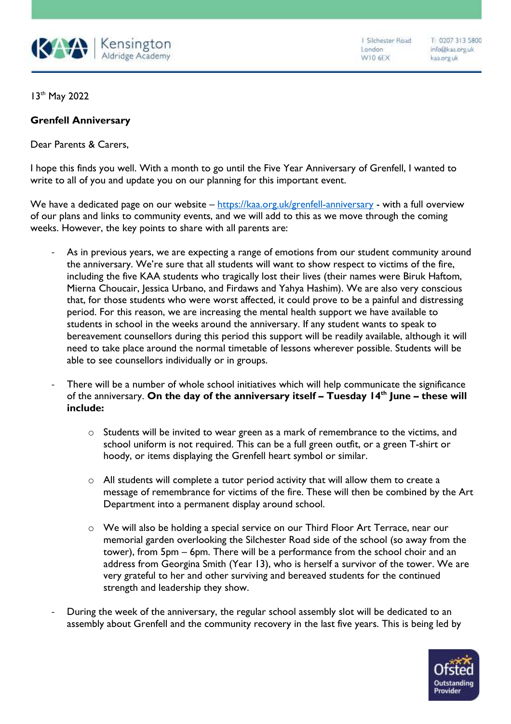

1 Silchester Road London W10 6EX

T: 0207 313 5800 info@kaa.org.uk kaa.org.uk

13th May 2022

## **Grenfell Anniversary**

Dear Parents & Carers,

I hope this finds you well. With a month to go until the Five Year Anniversary of Grenfell, I wanted to write to all of you and update you on our planning for this important event.

We have a dedicated page on our website – <https://kaa.org.uk/grenfell-anniversary> - with a full overview of our plans and links to community events, and we will add to this as we move through the coming weeks. However, the key points to share with all parents are:

- As in previous years, we are expecting a range of emotions from our student community around the anniversary. We're sure that all students will want to show respect to victims of the fire, including the five KAA students who tragically lost their lives (their names were Biruk Haftom, Mierna Choucair, Jessica Urbano, and Firdaws and Yahya Hashim). We are also very conscious that, for those students who were worst affected, it could prove to be a painful and distressing period. For this reason, we are increasing the mental health support we have available to students in school in the weeks around the anniversary. If any student wants to speak to bereavement counsellors during this period this support will be readily available, although it will need to take place around the normal timetable of lessons wherever possible. Students will be able to see counsellors individually or in groups.
- There will be a number of whole school initiatives which will help communicate the significance of the anniversary. **On the day of the anniversary itself – Tuesday 14th June – these will include:** 
	- $\circ$  Students will be invited to wear green as a mark of remembrance to the victims, and school uniform is not required. This can be a full green outfit, or a green T-shirt or hoody, or items displaying the Grenfell heart symbol or similar.
	- $\circ$  All students will complete a tutor period activity that will allow them to create a message of remembrance for victims of the fire. These will then be combined by the Art Department into a permanent display around school.
	- o We will also be holding a special service on our Third Floor Art Terrace, near our memorial garden overlooking the Silchester Road side of the school (so away from the tower), from 5pm – 6pm. There will be a performance from the school choir and an address from Georgina Smith (Year 13), who is herself a survivor of the tower. We are very grateful to her and other surviving and bereaved students for the continued strength and leadership they show.
- During the week of the anniversary, the regular school assembly slot will be dedicated to an assembly about Grenfell and the community recovery in the last five years. This is being led by